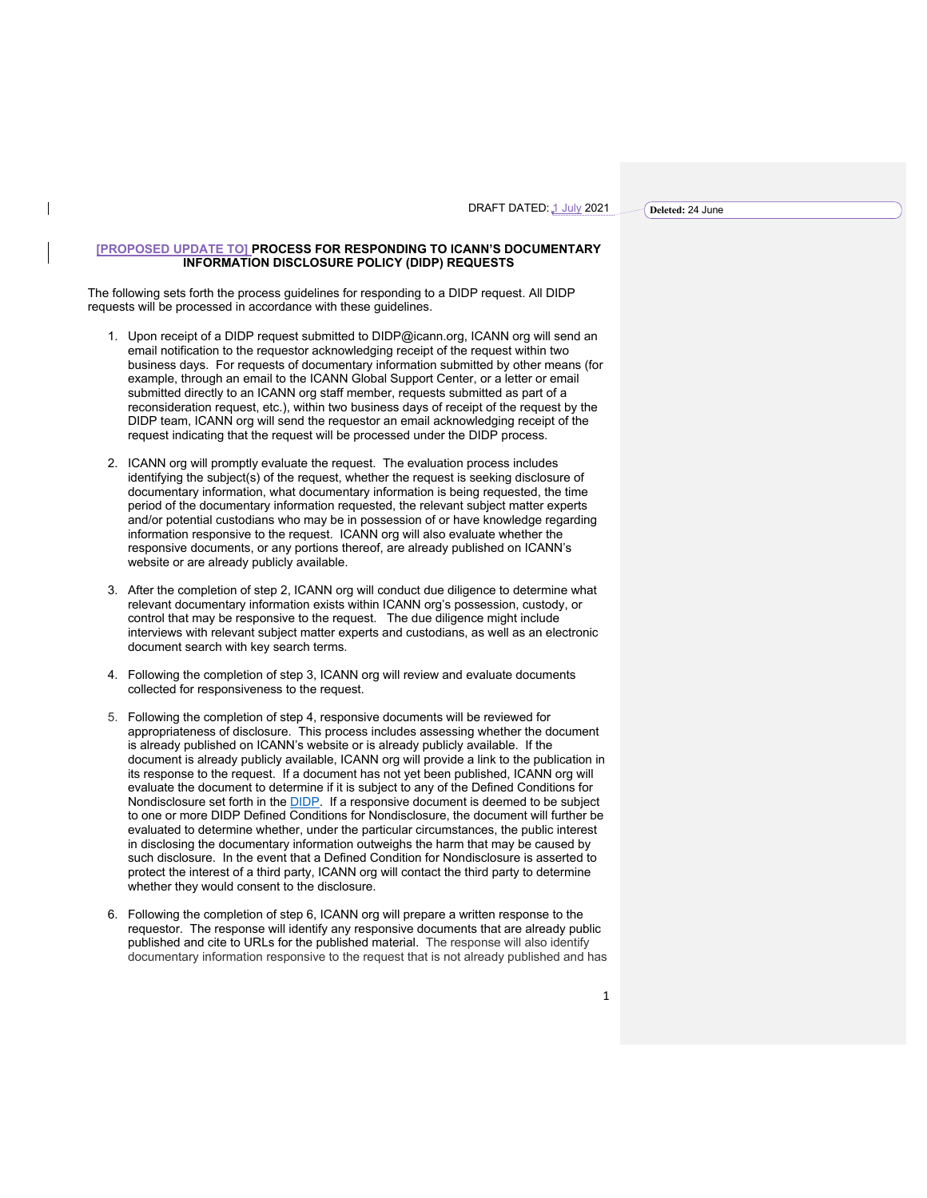DRAFT DATED: 1 July 2021

**Deleted:** 24 June

## **[PROPOSED UPDATE TO] PROCESS FOR RESPONDING TO ICANN'S DOCUMENTARY INFORMATION DISCLOSURE POLICY (DIDP) REQUESTS**

The following sets forth the process guidelines for responding to a DIDP request. All DIDP requests will be processed in accordance with these guidelines.

 $\mathsf{l}$ 

- 1. Upon receipt of a DIDP request submitted to DIDP@icann.org, ICANN org will send an email notification to the requestor acknowledging receipt of the request within two business days. For requests of documentary information submitted by other means (for example, through an email to the ICANN Global Support Center, or a letter or email submitted directly to an ICANN org staff member, requests submitted as part of a reconsideration request, etc.), within two business days of receipt of the request by the DIDP team, ICANN org will send the requestor an email acknowledging receipt of the request indicating that the request will be processed under the DIDP process.
- 2. ICANN org will promptly evaluate the request. The evaluation process includes identifying the subject(s) of the request, whether the request is seeking disclosure of documentary information, what documentary information is being requested, the time period of the documentary information requested, the relevant subject matter experts and/or potential custodians who may be in possession of or have knowledge regarding information responsive to the request. ICANN org will also evaluate whether the responsive documents, or any portions thereof, are already published on ICANN's website or are already publicly available.
- 3. After the completion of step 2, ICANN org will conduct due diligence to determine what relevant documentary information exists within ICANN org's possession, custody, or control that may be responsive to the request. The due diligence might include interviews with relevant subject matter experts and custodians, as well as an electronic document search with key search terms.
- 4. Following the completion of step 3, ICANN org will review and evaluate documents collected for responsiveness to the request.
- 5. Following the completion of step 4, responsive documents will be reviewed for appropriateness of disclosure. This process includes assessing whether the document is already published on ICANN's website or is already publicly available. If the document is already publicly available, ICANN org will provide a link to the publication in its response to the request. If a document has not yet been published, ICANN org will evaluate the document to determine if it is subject to any of the Defined Conditions for Nondisclosure set forth in the **DIDP**. If a responsive document is deemed to be subject to one or more DIDP Defined Conditions for Nondisclosure, the document will further be evaluated to determine whether, under the particular circumstances, the public interest in disclosing the documentary information outweighs the harm that may be caused by such disclosure. In the event that a Defined Condition for Nondisclosure is asserted to protect the interest of a third party, ICANN org will contact the third party to determine whether they would consent to the disclosure.
- 6. Following the completion of step 6, ICANN org will prepare a written response to the requestor. The response will identify any responsive documents that are already public published and cite to URLs for the published material. The response will also identify documentary information responsive to the request that is not already published and has